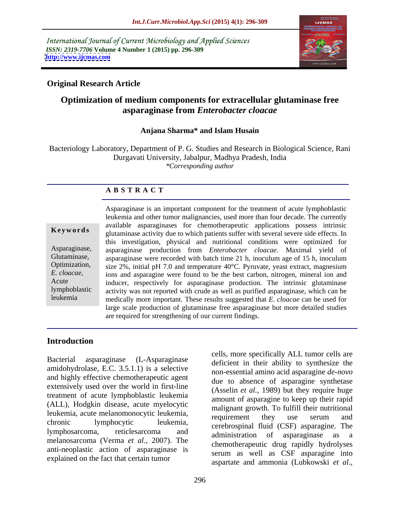International Journal of Current Microbiology and Applied Sciences *ISSN: 2319-7706* **Volume 4 Number 1 (2015) pp. 296-309 <http://www.ijcmas.com>**



## **Original Research Article**

# **Optimization of medium components for extracellular glutaminase free asparaginase from** *Enterobacter cloacae*

### **Anjana Sharma\* and Islam Husain**

Bacteriology Laboratory, Department of P. G. Studies and Research in Biological Science, Rani Durgavati University, Jabalpur, Madhya Pradesh, India *\*Corresponding author*

### **A B S T R A C T**

leukemia

Asparaginase is an important component for the treatment of acute lymphoblastic leukemia and other tumor malignancies, used more than four decade. The currently available asparaginases for chemotherapeutic applications possess intrinsic **Keywords** glutaminase activity due to which patients suffer with several severe side effects. In this investigation, physical and nutritional conditions were optimized for Asparaginase, asparaginase production from *Enterobacter cloacae*. Maximal yield of Glutaminase, asparaginase were recorded with batch time 21 h, inoculum age of 15 h, inoculum Optimization, size  $2\%$ , initial pH 7.0 and temperature 40°C. Pyruvate, yeast extract, magnesium *E. cloacae*, ions and asparagine were found to be the best carbon, nitrogen, mineral ion and inducer, respectively for asparaginase production. The intrinsic glutaminase inducer, respectively for asparaginase production. The intrinsic glutaminase lymphoblastic activity was not reported with crude as well as purified asparaginase, which can be medically more important. These results suggested that *E. cloacae* can be used for large scale production of glutaminase free asparaginase but more detailed studies are required for strengthening of our current findings.

### **Introduction**

Bacterial asparaginase (L-Asparaginase deficient in their ability to synthesize the amidohydrolase, E.C. 3.5.1.1) is a selective and highly effective chemotherapeutic agent extensively used over the world in first-line treatment of acute lymphoblastic leukemia (ALL), Hodgkin disease, acute myelocytic leukemia, acute melanomonocytic leukemia, manghant growth. To faith their nutritional chronic lymphocytic leukemia, cerebrospinal fluid (CSF) asparagine. The lymphosarcoma, reticlesarcoma and administration of asparaginase as a melanosarcoma (Verma *et al.,* 2007). The anti-neoplastic action of asparaginase is explained on the fact that certain tumor

cells, more specifically ALL tumor cells are non-essential amino acid asparagine *de-novo* due to absence of asparagine synthetase (Asselin *et al.,* 1989) but they require huge amount of asparagine to keep up their rapid malignant growth. To fulfill their nutritional requirement they use serum and chemotherapeutic drug rapidly hydrolyses serum as well as CSF asparagine into aspartate and ammonia (Lubkowski *et al.,*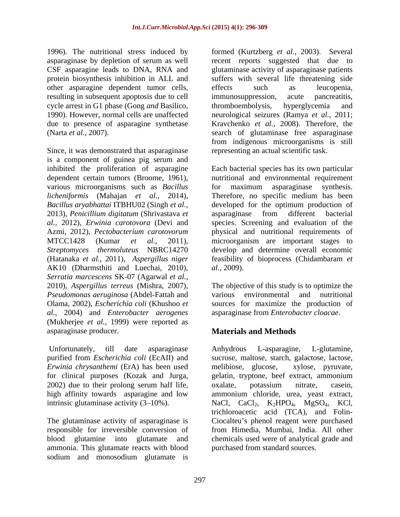1996). The nutritional stress induced by formed (Kurtzberg *et al.,* 2003). Several other asparagine dependent tumor cells, effects such as leucopenia, resulting in subsequent apoptosis due to cell immunosuppression, acute pancreatitis, cycle arrest in G1 phase (Gong *and* Basilico, thromboembolysis, hyperglycemia and 1990). However, normal cells are unaffected neurological seizures (Ramya *et al.*, 2011;

Since, it was demonstrated that asparaginase is a component of guinea pig serum and various microorganisms such as *Bacillus*  2013), *Penicillium digitatum* (Shrivastava *et*  AK10 (Dharmsthiti and Luechai, 2010), *Serratia marcescens* SK-07 (Agarwal *et al.,* 2010), *Aspergillus terreus* (Mishra, 2007), The objective of this study is to optimize the *Pseudomonas aeruginosa* (Abdel-Fattah and various environmental and nutritional Olama, 2002), *Escherichia coli* (Khushoo *et al.,* 2004) and *Enterobacter aerogenes* (Mukherjee *et al.,* 1999) were reported as asparaginase producer. **Materials and Methods**

*Erwinia chrysanthemi* (ErA) has been used 2002) due to their prolong serum half life, solution and potassium strate, casein,

blood glutamine into glutamate and ammonia. This glutamate reacts with blood<br>sodium and monosodium glutamate is sodium and monosodium glutamate is

asparaginase by depletion of serum as well recent reports suggested that due to CSF asparagine leads to DNA, RNA and glutaminase activity of asparaginase patients protein biosynthesis inhibition in ALL and suffers with several life threatening side 1990). However, normal cells are unaffected neurological seizures (Ramya *et al.,* 2011; due to presence of asparagine synthetase Kravchenko *et al.,* 2008). Therefore, the (Narta *et al.*, 2007). Search of glutaminase free asparaginase effects such as leucopenia, immunosuppression, acute pancreatitis, thromboembolysis, hyperglycemia and from indigenous microorganisms is still representing an actual scientific task.

inhibited the proliferation of asparagine Each bacterial species has its own particular dependent certain tumors (Broome, 1961), nutritional and environmental requirement *licheniformis* (Mahajan *et al.,* 2014), Therefore, no specific medium has been *Bacillus aryabhattai* ITBHU02 (Singh *et al.,* developed for the optimum production of *al.,* 2012), *Erwinia carotovora* (Devi and species. Screening and evaluation of the Azmi, 2012), *Pectobacterium carotovorum* physical and nutritional requirements of MTCC1428 (Kumar *et al.,* 2011), microorganism are important stages to *Streptomyces thermoluteus* NBRC14270 develop and determine overall economic (Hatanaka *et al.,* 2011),*Aspergillus niger* feasibility of bioprocess (Chidambaram *et*  for maximum asparaginase synthesis. asparaginase from different bacterial *al.,* 2009).

> sources for maximize the production of asparaginase from *Enterobacter cloacae*.

Unfortunately, till date asparaginase Anhydrous L-asparagine, L-glutamine, purified from *Escherichia coli* (EcAII) and sucrose, maltose, starch, galactose, lactose, for clinical purposes (Kozak and Jurga, gelatin, tryptone, beef extract, ammonium high affinity towards asparagine and low ammonium chloride, urea, yeast extract, intrinsic glutaminase activity  $(3-10\%)$ . NaCl, CaCl<sub>2</sub>, K<sub>2</sub>HPO<sub>4</sub>, MgSO<sub>4</sub>, KCl, The glutaminase activity of asparaginase is Ciocalteu's phenol reagent were purchased responsible for irreversible conversion of from Himedia, Mumbai, India. All other Anhydrous L-asparagine, L-glutamine, melibiose, glucose, oxalate, potassium nitrate, casein, trichloroacetic acid (TCA), and Folin chemicals used were of analytical grade and purchased from standard sources.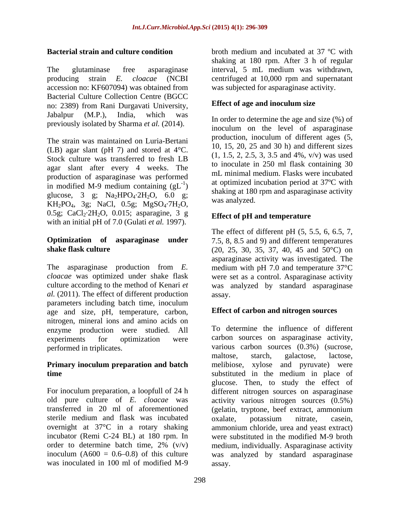The glutaminase free asparaginase interval, 5 mL medium was withdrawn, accession no: KF607094) was obtained from Bacterial Culture Collection Centre (BGCC no: 2389) from Rani Durgavati University, Jabalpur (M.P.), India, which was  $\frac{1}{2}$  redex to determine the age and size  $\frac{1}{2}$  of previously isolated by Sharma *et al.* (2014).

The strain was maintained on Luria-Bertani (LB) agar slant (pH 7) and stored at 4°C. Stock culture was transferred to fresh LB agar slant after every 4 weeks. The production of asparaginase was performed in modified M-9 medium containing  $(gL^{-1})$ glucose,  $3$  g;  $Na<sub>2</sub>HPO<sub>4</sub>·2H<sub>2</sub>O$ ,  $6.0$  g; snaking at 180<br>
Was analyzed.  $KH_2PO_4$ , 3g; NaCl, 0.5g;  $MgSO_4 \cdot 7H_2O$ , 0.5g; CaCl<sub>2</sub>·2H<sub>2</sub>O, 0.015; asparagine, 3 g with an initial pH of 7.0 (Gulati *et al.* 1997).

The asparaginase production from *E.*  medium with pH 7.0 and temperature 37°C *cloacae* was optimized under shake flask were set as a control. Asparaginase activity culture according to the method of Kenari *et*  was analyzed by standard asparaginase *al.* (2011). The effect of different production assay. parameters including batch time, inoculum age and size, pH, temperature, carbon, nitrogen, mineral ions and amino acids on enzyme production were studied. All

sterile medium and flask was incubated oxalate, potassium nitrate, casein, was inoculated in 100 ml of modified M-9

**Bacterial strain and culture condition** broth medium and incubated at 37 °C with producing strain *E. cloacae* (NCBI centrifuged at 10,000 rpm and supernatant shaking at 180 rpm. After 3 h of regular interval, 5 mL medium was withdrawn, was subjected for asparaginase activity.

## **Effect of age and inoculum size**

at optimized incubation period at  $37^{\circ}$ C with a optimized includation period at  $37 \text{ C}$  with In order to determine the age and size (%) of inoculum on the level of asparaginase production, inoculum of different ages (5, 10, 15, 20, 25 and 30 h) and different sizes (1, 1.5, 2, 2.5, 3, 3.5 and 4%, v/v) was used to inoculate in 250 ml flask containing 30 mL minimal medium. Flasks were incubated shaking at 180 rpm and asparaginase activity was analyzed.

## **Effect of pH and temperature**

**Optimization of asparaginase under** 7.5, 8, 8.5 and 9) and different temperatures **shake flask culture** (20, 25, 30, 35, 37, 40, 45 and 50°C) on The effect of different pH (5, 5.5, 6, 6.5, 7, asparaginase activity was investigated. The assay.

### **Effect of carbon and nitrogen sources**

experiments for optimization were carbon sources on asparaginase activity, performed in triplicates. various carbon sources (0.3%) (sucrose, **Primary inoculum preparation and batch** melibiose, xylose and pyruvate) were **time**  substituted in the medium in place of For inoculum preparation, a loopfull of 24 h different nitrogen sources on asparaginase old pure culture of *E. cloacae* was activity various nitrogen sources (0.5%) transferred in 20 ml of aforementioned (gelatin, tryptone, beef extract, ammonium overnight at 37°C in a rotary shaking ammonium chloride, urea and yeast extract) incubator (Remi C-24 BL) at 180 rpm. In were substituted in the modified M-9 broth order to determine batch time, 2% (v/v) medium, individually. Asparaginase activity inoculum  $(A600 = 0.6 - 0.8)$  of this culture was analyzed by standard asparaginase To determine the influence of different maltose, starch, galactose, lactose, glucose. Then, to study the effect of oxalate, potassium nitrate, casein, assay.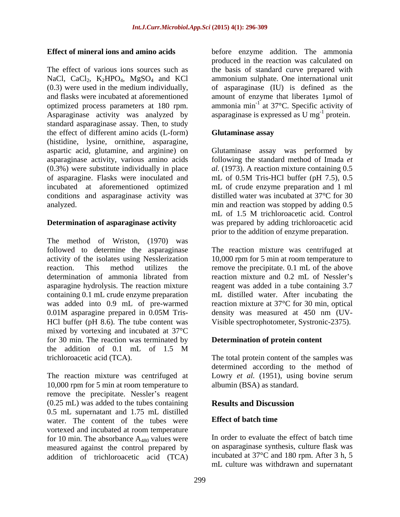The effect of various ions sources such as the basis of standard curve prepared with NaCl, CaCl<sub>2</sub>, K<sub>2</sub>HPO<sub>4</sub>, MgSO<sub>4</sub> and KCl ammonium sulphate. One international unit (0.3) were used in the medium individually, of asparaginase (IU) is defined as the and flasks were incubated at aforementioned amount of enzyme that liberates 1µmol of optimized process parameters at 180 rpm.  $\qquad$  ammonia min<sup>-1</sup> at 37°C. Specific activity of Asparaginase activity was analyzed by standard asparaginase assay. Then, to study the effect of different amino acids (L-form) Glutaminase assay (histidine, lysine, ornithine, asparagine, aspartic acid, glutamine, and arginine) on Glutaminase assay was performed by asparaginase activity, various amino acids following the standard method of Imada *et*  (0.3%) were substitute individually in place *al.* (1973). A reaction mixture containing 0.5 of asparagine. Flasks were inoculated and mL of 0.5M Tris-HCl buffer (pH 7.5), 0.5 incubated at aforementioned optimized mL of crude enzyme preparation and 1 ml conditions and asparaginase activity was analyzed. min and reaction was stopped by adding 0.5

The method of Wriston, (1970) was followed to determine the asparaginase The reaction mixture was centrifuged at activity of the isolates using Nesslerization 10,000 rpm for 5 min at room temperature to reaction. This method utilizes the remove the precipitate. 0.1 mL of the above determination of ammonia librated from reaction mixture and 0.2 mL of Nessler's asparagine hydrolysis. The reaction mixture reagent was added in a tube containing 3.7 containing 0.1 mL crude enzyme preparation was added into 0.9 mL of pre-warmed reaction mixture at 37<sup>o</sup>C for 30 min, optical 0.01M asparagine prepared in 0.05M Tris- HCl buffer (pH 8.6). The tube content was mixed by vortexing and incubated at 37°C for 30 min. The reaction was terminated by the addition of 0.1 mL of 1.5 M

The reaction mixture was centrifuged at Lowry *et al.* (1951), using bovine serum 10,000 rpm for 5 min at room temperature to remove the precipitate. Nessler's reagent (0.25 mL) was added to the tubes containing Results and Discussion 0.5 mL supernatant and 1.75 mL distilled water. The content of the tubes were vortexed and incubated at room temperature for 10 min. The absorbance  $A_{480}$  values were measured against the control prepared by addition of trichloroacetic acid (TCA)

**Effect of mineral ions and amino acids** before enzyme addition. The ammonia produced in the reaction was calculated on asparaginase is expressed as  $U mg^{-1}$  protein.  $^{-1}$  protoin protein.

### **Glutaminase assay**

**Determination of asparaginase activity** was prepared by adding trichloroacetic acid distilled water was incubated at 37°C for 30 mL of 1.5 M trichloroacetic acid. Control prior to the addition of enzyme preparation.

> reaction mixture and 0.2 mL of Nessler's mL distilled water. After incubating the density was measured at 450 nm (UV- Visible spectrophotometer, Systronic-2375).

### **Determination of protein content**

trichloroacetic acid (TCA). The total protein content of the samples was determined according to the method of albumin (BSA) as standard.

### **Results and Discussion**

### **Effect of batch time**

In order to evaluate the effect of batch time on asparaginase synthesis, culture flask was incubated at 37°C and 180 rpm. After 3 h, 5 mL culture was withdrawn and supernatant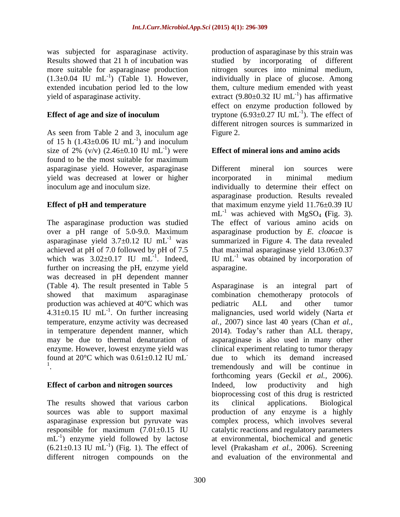was subjected for asparaginase activity. more suitable for asparaginase production  $(1.3\pm0.04$  IU mL<sup>-1</sup>) (Table 1). However,

As seen from Table 2 and 3, inoculum age Figure 2. of 15 h  $(1.43\pm0.06 \text{ IU } \text{mL}^{-1})$  and inoculum  $\frac{1}{2}$  and inequlum ) and inoculum size of 2% (v/v)  $(2.46\pm0.10 \text{ IU } \text{mL}^{-1})$  were found to be the most suitable for maximum asparaginase yield. However, asparaginase yield was decreased at lower or higher

The asparaginase production was studied over a pH range of 5.0-9.0. Maximum asparaginase production by *E. cloacae* is asparaginase yield  $3.7\pm0.12$  IU mL<sup>-1</sup> was summarized in Figure 4. The data revealed achieved at pH of 7.0 followed by pH of 7.5<br>which was  $3.02 \pm 0.17$  IU mL<sup>-1</sup>. Indeed, which was  $3.02\pm0.17$  IU mL<sup>-1</sup>. Indeed, IU mL<sup>-1</sup> was obtained by incorporation of further on increasing the pH, enzyme yield asparagine. was decreased in pH dependent manner (Table 4). The result presented in Table 5 production was achieved at 40°C which was pediatric ALL and other tumor  $4.31\pm0.15$  IU mL<sup>-1</sup>. On further increasing malignancies, used world widely (Narta *et* may be due to thermal denaturation of enzyme. However, lowest enzyme yield was .

The results showed that various carbon its clinical applications. Biological  $(6.21 \pm 0.13 \text{ IU } \text{mL}^{-1})$  (Fig. 1). The effect of different nitrogen compounds on the

Results showed that 21 h of incubation was studied by incorporating of different <sup>-1</sup>) (Table 1). However, individually in place of glucose. Among extended incubation period led to the low them, culture medium emended with yeast yield of asparaginase activity.  $ext{next}(9.80 \pm 0.32 \text{ IU } \text{mL}^{-1})$  has affirmative **Effect of age and size of inoculum** tryptone (6.93 $\pm$ 0.27 IU mL<sup>-1</sup>). The effect of production of asparaginase by this strain was nitrogen sources into minimal medium,  $^{-1}$ ) hos offirmative ) has affirmative effect on enzyme production followed by  $-1$  The effect of ). The effect of different nitrogen sources is summarized in Figure 2.

# -1 ) were **Effect of mineral ions and amino acids**

inoculum age and inoculum size. individually to determine their effect on **Effect of pH and temperature** that maximum enzyme yield 11.76±0.39 IU Different mineral ion sources were incorporated in minimal medium asparaginase production. Results revealed  $mL^{-1}$  was achieved with MgSO<sub>4</sub> (Fig. 3). The effect of various amino acids on that maximal asparaginase yield  $13.06\pm0.37$ asparagine.

showed that maximum asparaginase combination chemotherapy protocols of 4.31±0.15 IU mL -1 . On further increasing malignancies, used world widely (Narta *et*  temperature, enzyme activity was decreased *al.,* 2007) since last 40 years (Chan *et al.,* in temperature dependent manner, which 2014). Today's rather than ALL therapy, found at  $20^{\circ}$ C which was  $0.61 \pm 0.12$  IU mL due to which its demand increased <sup>1</sup>. tremendously and will be continue in **Effect of carbon and nitrogen sources** Indeed, low productivity and high sources was able to support maximal production of any enzyme is a highly asparaginase expression but pyruvate was complex process, which involves several responsible for maximum (7.01±0.15 IU catalytic reactions and regulatory parameters mL<sup>-1</sup>) enzyme yield followed by lactose at environmental, biochemical and genetic <sup>-1</sup>) (Fig. 1). The effect of level (Prakasham *et al.*, 2006). Screening Asparaginase is an integral part pediatric ALL and other tumor asparaginase is also used in many other clinical experiment relating to tumor therapy forthcoming years (Geckil *et al.,* 2006). Indeed, low productivity and high bioprocessing cost of this drug is restricted its clinical applications. Biological and evaluation of the environmental and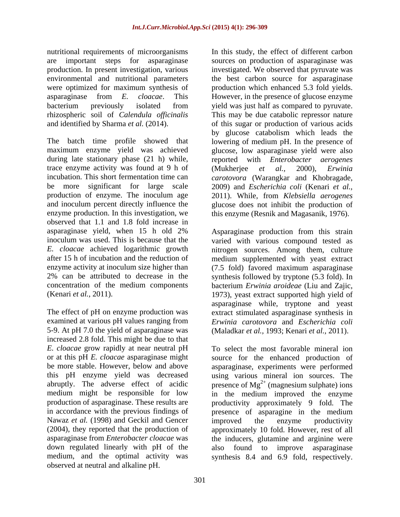nutritional requirements of microorganisms In this study, the effect of different carbon

The batch time profile showed that lowering of medium pH. In the presence of maximum enzyme yield was achieved glucose, low asparaginase yield were also during late stationary phase (21 h) while, reported with *Enterobacter aerogenes* trace enzyme activity was found at 9 h of (Mukherjee et al., 2000), Erwinia incubation. This short fermentation time can *carotovora* (Warangkar and Khobragade, be more significant for large scale 2009) and *Escherichia coli* (Kenari *et al.,* production of enzyme. The inoculum age 2011). While, from *Klebsiella aerogenes* and inoculum percent directly influence the glucose does not inhibit the production of enzyme production. In this investigation, we this enzyme (Resnik and Magasanik, 1976). observed that 1.1 and 1.8 fold increase in asparaginase yield, when 15 h old 2% Asparaginase production from this strain inoculum was used. This is because that the varied with various compound tested as *E. cloacae* achieved logarithmic growth nitrogen sources. Among them, culture after 15 h of incubation and the reduction of medium supplemented with yeast extract enzyme activity at inoculum size higher than (7.5 fold) favored maximum asparaginase 2% can be attributed to decrease in the synthesis followed by tryptone (5.3 fold). In concentration of the medium components bacterium *Erwinia aroideae* (Liu and Zajic,

The effect of pH on enzyme production was extract stimulated asparaginase synthesis in examined at various pH values ranging from *Erwinia carotovora* and *Escherichia coli* 5-9. At pH 7.0 the yield of asparaginase was (Maladkar *et al.,* 1993; Kenari *et al.,* 2011). increased 2.8 fold. This might be due to that *E. cloacae* grow rapidly at near neutral pH production of asparaginase. These results are Nawaz *et al.* (1998) and Geckil and Gencer improved the enzyme productivity down regulated linearly with pH of the also found to improve asparaginase observed at neutral and alkaline pH.

are important steps for asparaginase sources on production of asparaginase was production. In present investigation, various investigated. We observed that pyruvate was environmental and nutritional parameters the best carbon source for asparaginase were optimized for maximum synthesis of production which enhanced 5.3 fold yields. asparaginase from *E. cloacae*. This However, in the presence of glucose enzyme bacterium previously isolated from yield was just half as compared to pyruvate. rhizospheric soil of *Calendula officinalis* This may be due catabolic repressor nature and identified by Sharma *et al.* (2014).  $\qquad \qquad$  of this sugar or production of various acids by glucose catabolism which leads the reported with *Enterobacter aerogenes* (Mukherjee *et al.,* 2000), *Erwinia* 

(Kenari *et al.,* 2011). 1973), yeast extract supported high yield of asparaginase while, tryptone and yeast

or at this pH *E. cloacae* asparaginase might source for the enhanced production of be more stable. However, below and above asparaginase, experiments were performed this pH enzyme yield was decreased using various mineral ion sources. The abruptly. The adverse effect of acidic presence of  $Mg^{2+}$  (magnesium sulphate) ions medium might be responsible for low in the medium improved the enzyme in accordance with the previous findings of presence of asparagine in the medium (2004), they reported that the production of approximately 10 fold. However, rest of all asparaginase from *Enterobacter cloacae* was the inducers, glutamine and arginine were medium, and the optimal activity was synthesis 8.4 and 6.9 fold, respectively.To select the most favorable mineral ion productivity approximately 9 fold. The improved the enzyme productivity also found to improve asparaginase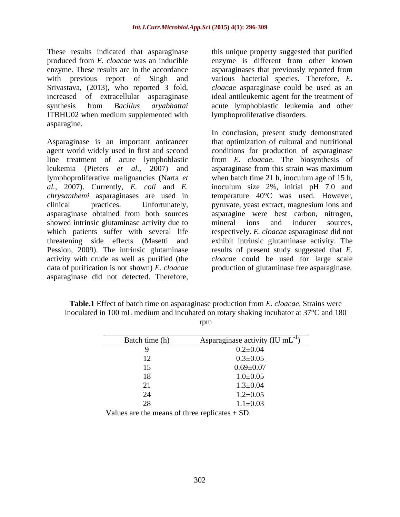These results indicated that asparaginase this unique property suggested that purified produced from *E. cloacae* was an inducible enzyme is different from other known enzyme. These results are in the accordance asparaginases that previously reported from with previous report of Singh and various bacterial species. Therefore, *E.*  Srivastava, (2013), who reported 3 fold, *cloacae* asparaginase could be used as an increased of extracellular asparaginase ideal antileukemic agent for the treatment of synthesis from *Bacillus aryabhattai* acute lymphoblastic leukemia and other ITBHU02 when medium supplemented with asparagine.

Asparaginase is an important anticancer lymphoproliferative malignancies (Narta *et*  asparaginase obtained from both sources showed intrinsic glutaminase activity due to mineral ions and inducer sources, data of purification is not shown) *E. cloacae* asparaginase did not detected. Therefore,

lymphoproliferative disorders.

agent world widely used in first and second conditions for production of asparaginase line treatment of acute lymphoblastic from *E. cloacae*. The biosynthesis of leukemia (Pieters *et al.,* 2007) and asparaginase from this strain was maximum *al.,* 2007). Currently, *E. coli* and *E.*  inoculum size 2%, initial pH 7.0 and *chrysanthemi* asparaginases are used in temperature 40°C was used. However, clinical practices. Unfortunately, pyruvate, yeast extract, magnesium ions and which patients suffer with several life respectively. *E. cloacae* asparaginase did not threatening side effects (Masetti and exhibit intrinsic glutaminase activity. The Pession, 2009). The intrinsic glutaminase results of present study suggested that *E.*  activity with crude as well as purified (the *cloacae* could be used for large scale In conclusion, present study demonstrated that optimization of cultural and nutritional when batch time 21 h, inoculum age of 15 h, asparagine were best carbon, nitrogen, mineral ions and inducer sources, production of glutaminase free asparaginase.

| Batch time (h)          | Asparaginase activity (IU mL $^{-1}$ ) |
|-------------------------|----------------------------------------|
|                         | $0.2 \pm 0.04$                         |
|                         | $0.3 \pm 0.05$                         |
|                         | $0.69 \pm 0.07$                        |
| ⊥ ∪                     | $1.0 \pm 0.05$                         |
| $^{\sim}$ 1<br>$\sim$ 1 | $1.3 \pm 0.04$                         |
|                         | $1.2 \pm 0.05$                         |
|                         | $1.1 \pm 0.03$                         |

**Table.1** Effect of batch time on asparaginase production from *E. cloacae*. Strains were inoculated in 100 mL medium and incubated on rotary shaking incubator at 37°C and 180 rpm and the contract of the contract of the contract of the contract of the contract of the contract of the contract of the contract of the contract of the contract of the contract of the contract of the contract of the co

Values are the means of three replicates  $\pm$  SD.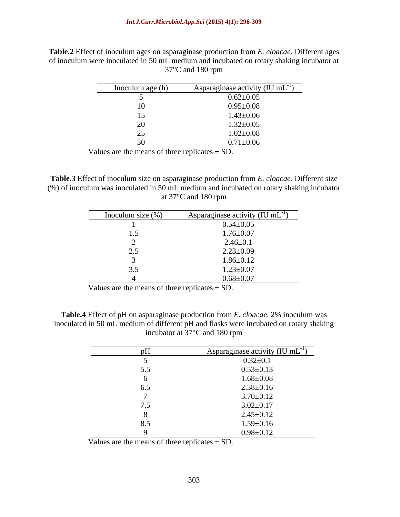| <b>Table.2</b> Effect of inoculum ages on asparaginase production from <i>E. cloacae</i> . Different ages |  |  |
|-----------------------------------------------------------------------------------------------------------|--|--|
| of inoculum were inoculated in 50 mL medium and incubated on rotary shaking incubator at                  |  |  |
| $7^{\circ}$ C and 180 rpm                                                                                 |  |  |

| Inoculum age (h) | Asparaginase activity (IU mL |
|------------------|------------------------------|
|                  | $0.62{\pm}0.05$              |
| 10               | $0.95 \pm 0.08$              |
| $\overline{ }$   | $1.43 \pm 0.06$              |
| 20               | $1.32 \pm 0.05$              |
|                  | $1.02 \pm 0.08$              |
|                  | $0.71 \pm 0.06$              |

Values are the means of three replicates  $\pm$  SD.

**Table.3** Effect of inoculum size on asparaginase production from *E. cloacae*. Different size (%) of inoculum was inoculated in 50 mL medium and incubated on rotary shaking incubator at  $37^{\circ}$ C and 180 rpm at 37 $^{\circ}$ C and 180 rpm

| Inoculum size $(\%)$ | Asparaginase activity (IU mL <sup>-1</sup> ) |
|----------------------|----------------------------------------------|
|                      | $0.54 \pm 0.05$                              |
| $\cdot\cdot$         | $1.76 \pm 0.07$                              |
|                      | $2.46 \pm 0.1$                               |
| ن. گ                 | $2.23 \pm 0.09$                              |
|                      | $1.86 \pm 0.12$                              |
| $\cdots$             | $1.23 \pm 0.07$                              |
|                      | $0.68{\pm}0.07$                              |

Values are the means of three replicates  $\pm$  SD.

**Table.4** Effect of pH on asparaginase production from *E. cloacae*. 2% inoculum was inoculated in 50 mL medium of different pH and flasks were incubated on rotary shaking incubator at 37°C and 180 rpm

|     | Asparaginase activity (IU $\overline{\text{mL}}$ ) |
|-----|----------------------------------------------------|
|     | $0.32 \pm 0.1$                                     |
| ັ∙∙ | $0.53 \pm 0.13$                                    |
|     | $1.68 \pm 0.08$                                    |
| 0.5 | $2.38 \pm 0.16$                                    |
|     | $3.70 \pm 0.12$                                    |
|     | $3.02 \pm 0.17$                                    |
|     | $2.45 \pm 0.12$                                    |
|     | $1.59 \pm 0.16$                                    |
|     | $0.98 \pm 0.12$                                    |

Values are the means of three replicates  $\pm$  SD.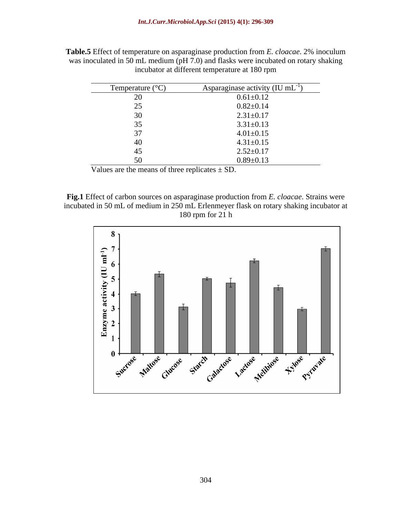| Temperature $(^{\circ}C)$ | Asparaginase activity $(IU mL^{-1})$ |
|---------------------------|--------------------------------------|
|                           | $0.61 \pm 0.12$                      |
| $\sim$ $-$                | $0.82 \pm 0.14$                      |
|                           | $2.31 \pm 0.17$                      |
|                           | $3.31 \pm 0.13$                      |
|                           | $4.01 \pm 0.15$                      |
|                           | $4.31 \pm 0.15$                      |
|                           | $2.52 \pm 0.17$                      |
|                           | $0.89 \pm 0.13$                      |

**Table.5** Effect of temperature on asparaginase production from *E. cloacae*. 2% inoculum was inoculated in 50 mL medium (pH 7.0) and flasks were incubated on rotary shaking incubator at different temperature at 180 rpm

Values are the means of three replicates  $\pm$  SD.

**Fig.1** Effect of carbon sources on asparaginase production from *E. cloacae*. Strains were incubated in 50 mL of medium in 250 mL Erlenmeyer flask on rotary shaking incubator at 180 rpm for 21 h

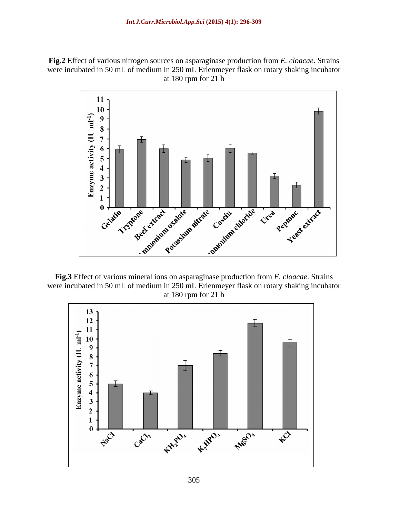**Fig.2** Effect of various nitrogen sources on asparaginase production from *E. cloacae*. Strains were incubated in 50 mL of medium in 250 mL Erlenmeyer flask on rotary shaking incubator at 180 rpm for 21 h



**Fig.3** Effect of various mineral ions on asparaginase production from *E. cloacae*. Strains were incubated in 50 mL of medium in 250 mL Erlenmeyer flask on rotary shaking incubator at 180 rpm for 21 h

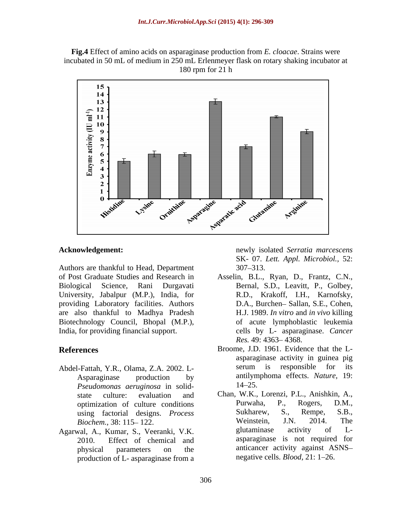**Fig.4** Effect of amino acids on asparaginase production from *E. cloacae*. Strains were incubated in 50 mL of medium in 250 mL Erlenmeyer flask on rotary shaking incubator at 180 rpm for 21 h



Authors are thankful to Head, Department 307–313. of Post Graduate Studies and Research in Asselin, B.L., Ryan, D., Frantz, C.N., Biological Science, Rani Durgavati Bernal, S.D., Leavitt, P., Golbey, University, Jabalpur (M.P.), India, for providing Laboratory facilities. Authors are also thankful to Madhya Pradesh Biotechnology Council, Bhopal (M.P.), India, for providing financial support.

- *Pseudomonas aeruginosa* in solid-
- Agarwal, A., Kumar, S., Veeranki, V.K. production of L- asparaginase from a

**Acknowledgement:** newly isolated *Serratia marcescens* SK- 07. *Lett. Appl. Microbiol.,* 52: 307 313.

- R.D., Krakoff, I.H., Karnofsky, D.A., Burchen-Sallan, S.E., Cohen, H.J. 1989. *In vitro* and *in vivo* killing of acute lymphoblastic leukemia cells by L- asparaginase. *Cancer Res.* 49: 4363 - 4368.
- **References** Broome, J.D. 1961. Evidence that the L- Abdel-Fattah, Y.R., Olama, Z.A. 2002. L- Asparaginase production by antilymphoma effects. *Nature,* 19: asparaginase activity in guinea pig serum is responsible for its 14 25.
	- state culture: evaluation and Chan, W.K., Lorenzi, P.L., Anishkin, A., optimization of culture conditions **Purwaha**, P., Rogers, D.M., using factorial designs *Process* Sukharew, S., Rempe, S.B., using factorial designs. *Process Biochem.,* 38: 115–122.<br>
	val A Kumar S Veeranki VK sultaminase activity of L-2010. Effect of chemical and asparaginase is not required for physical parameters on the anticancer activity against ASNS Purwaha, P., Rogers, D.M., Sukharew, S., Rempe, S.B., Weinstein, J.N. 2014. The glutaminase activity of L negative cells. *Blood*, 21: 1–26.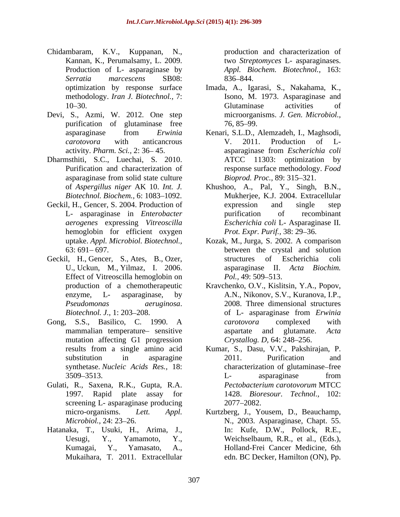- Chidambaram, K.V., Kuppanan, N., Kannan, K., Perumalsamy, L. 2009. two *Streptomyces* L- asparaginases. Production of L- asparaginase by *Appl. Biochem. Biotechnol.,* 163: *Serratia marcescens* SB08:
- Devi, S., Azmi, W. 2012. One step purification of glutaminase free 76, 85–99.
- 
- Geckil, H., Gencer, S. 2004. Production of expression and single step hemoglobin for efficient oxygen
- Geckil, H., Gencer, S., Ates, B., Ozer, structures of Escherichia coli Effect of Vitreoscilla hemoglobin on  $Pol.$ , 49: 509–513.
- Gong, S.S., Basilico, C. 1990. A *carotovora* complexed with mutation affecting G1 progression
- Gulati, R., Saxena, R.K., Gupta, R.A. Pectobacterium carotovorum MTCC screening L- asparaginase producing 2077–2082.
- Hatanaka, T., Usuki, H., Arima, J.,

production and characterization of 836–844.

- optimization by response surface Imada, A., Igarasi, S., Nakahama, K., methodology. *Iran J. Biotechnol.,* 7: Isono, M. 1973. Asparaginase and 10–30. Glutaminase activities of Glutaminase activities of microorganisms. *J. Gen. Microbiol.,* 76, 85 99.
- asparaginase from *Erwinia*  Kenari, S.L.D., Alemzadeh, I., Maghsodi, *carotovora* with anticancrous activity. *Pharm. Sci.*, 2: 36–45. asparaginase from *Escherichia coli* Dharmsthiti, S.C., Luechai, S. 2010. Purification and characterization of response surface methodology. *Food* asparaginase from solid state culture *Bioprod. Proc.*, 89: 315–321. V. 2011. Production of Lasparaginase from *Escherichia coli*  ATCC 11303: optimization by *Bioprod. Proc.,* 89: 315–321.
	- of *Aspergillus niger* AK 10. *Int. J.* Khushoo, A., Pal, Y., Singh, B.N., Biotechnol. Biochem., 6: 1083–1092. Mukherjee, K.J. 2004. Extracellular L- asparaginase in *Enterobacter* purification of recombinant *aerogenes* expressing *Vitreoscilla Escherichia coli* L- Asparaginase II*.* expression and single step purification of recombinant *Prot. Expr. Purif.*, 38: 29–36.
	- uptake. *Appl. Microbiol. Biotechnol.,*  Kozak, M., Jurga, S. 2002. A comparison 63: 691 697. between the crystal and solution U., Uckun, M., Yilmaz, I. 2006. asparaginase II. *Acta Biochim.* structures of Escherichia coli *Pol.,* 49: 509–513.
	- production of a chemotherapeutic Kravchenko, O.V., Kislitsin, Y.A., Popov, enzyme, L- asparaginase, by A.N., Nikonov, S.V., Kuranova, I.P., *Pseudomonas aeruginosa*. 2008. Three dimensional structures *Biotechnol. J.,* 1: 203–208. **b** of L- asparaginase from *Erwinia* mammalian temperature- sensitive aspartate and glutamate. Acta of L- asparaginase from *Erwinia carotovora* complexed with aspartate and glutamate. *Crystallog. D, 64: 248-256.*
	- results from a single amino acid Kumar, S., Dasu, V.V., Pakshirajan, P. substitution in asparagine 2011. Purification and synthetase. *Nucleic Acids Res.,* 18: characterization of glutaminase free 3509–3513. L- asparaginase from 1997. Rapid plate assay for 1428. *Bioresour. Technol.,* 102: 2011. Purification and L- asparaginase from *Pectobacterium carotovorum* MTCC 2077 2082.
	- micro-organisms. *Lett. Appl.* Kurtzberg, J., Yousem, D., Beauchamp, *Microbiol.,* 24: 23 26. N., 2003. Asparaginase, Chapt. 55. Uesugi, Y., Yamamoto, Y., In: Kufe, D.W., Pollock, R.E., Weichselbaum, R.R., et al., (Eds.), Kumagai, Y., Yamasato, A., Holland-Frei Cancer Medicine, 6th Mukaihara, T. 2011. Extracellular edn. BC Decker, Hamilton (ON), Pp.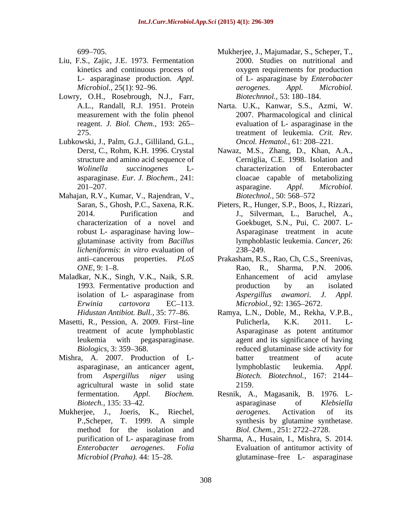- Liu, F.S., Zajic, J.E. 1973. Fermentation
- Lowry, O.H., Rosebrough, N.J., Farr,
- Lubkowski, J., Palm, G.J., Gilliland, G.L., asparaginase. *Eur. J. Biochem.,* 241:
- Mahajan, R.V., Kumar, V., Rajendran, V., Biotechnol., 50: 568–572 *licheniformis*: *in vitro* evaluation of
- Maladkar, N.K., Singh, V.K., Naik, S.R.
- Masetti, R., Pession, A. 2009. First-line Pulicherla, K.K. 2011. L-
- agricultural waste in solid state
- Mukherjee, J., Joeris, K., Riechel, *aerogenes*. Activation of its method for the isolation and
- 699 705. Mukherjee, J., Majumadar, S., Scheper, T., kinetics and continuous process of oxygen requirements for production L- asparaginase production. *Appl.* of L- asparaginase by *Enterobacter Microbiol.,* 25(1): 92–96. *Alexander Series Appl. Microbiol. Microbiol. Appl. Microbiol.* 2000. Studies on nutritional and *aerogenes. Appl. Microbiol. Biotechnnol.,* 53: 180-184.
- A.L., Randall, R.J. 1951. Protein Narta. U.K., Kanwar, S.S., Azmi, W. measurement with the folin phenol 2007. Pharmacological and clinical reagent. *J. Biol. Chem.*, 193: 265– evaluation of L- asparaginase in the 275. treatment of leukemia. *Crit. Rev. Oncol. Hematol.,* 61: 208-221.
- Derst, C., Rohm, K.H. 1996. Crystal Nawaz, M.S., Zhang, D., Khan, A.A., structure and amino acid sequence of Cerniglia, C.E. 1998. Isolation and *Wolinella succinogenes* L- 201–207. **Example 201–207.** asparagine. Appl. Microbiol. characterization of Enterobacter cloacae capable of metabolizing asparagine. *Appl. Microbiol. Biotechnol.,* 50: 568–572
- Saran, S., Ghosh, P.C., Saxena, R.K. Pieters, R., Hunger, S.P., Boos, J., Rizzari, 2014. Purification and J., Silverman, L., Baruchel, A., characterization of a novel and Goekbuget, S.N., Pui, C. 2007. L robust L- asparaginase having low glutaminase activity from *Bacillus*  Asparaginase treatment in acute lymphoblastic leukemia. *Cancer,* 26: 238–249.
- anti-cancerous properties. *PLoS* Prakasham, R.S., Rao, Ch, C.S., Sreenivas, *ONE*, 9: 1–8. **Rao, R., Sharma, P.N. 2006.** Rao, R., Sharma, P.N. 2006. 1993. Fermentative production and **production** by an isolated isolation of L- asparaginase from Aspergillus awamori. J. Appl. *Erwinia cartovora* EC 113. Enhancement of acid production by an isolated *Aspergillus awamori*. *J. Appl. Microbiol., 92: 1365–2672.*
- Hidustan Antibiot. Bull., 35: 77–86. Ramya, L.N., Doble, M., Rekha, V.P.B., treatment of acute lymphoblastic Asparaginase as potent antitumor leukemia with pegasparaginase. agent and its significance of having *Biologics,* 3: 359–368. The reduced glutaminase side activity for Mishra, A. 2007. Production of L asparaginase, an anticancer agent, etc. implied variables is equivalently apple to the experimental applicance of the experimental entries and the experimental entries are applicated as a synchronomy and the experimental e from *Aspergillus niger* using *Biotech. Biotechnol.,* 167: 2144 Pulicherla, K.K. 2011. L batter treatment of acute lymphoblastic leukemia. *Appl.*  2159.
	- fermentation. *Appl. Biochem.* Resnik, A., Magasanik, B. 1976. L- *Biotech.,* 135: 33–42. **a** asparaginase of *Klebsiella* P.,Scheper, T. 1999. A simple synthesis by glutamine synthetase. asparaginase of *Klebsiella aerogenes*. Activation of its synthesis by glutamine synthetase. *Biol. Chem., 251: 2722-2728.*
	- purification of L- asparaginase from Sharma, A., Husain, I., Mishra, S. 2014. *Enterobacter aerogenes*. *Folia*  Evaluation of antitumor activity of *Microbiol (Praha).* 44: 15–28. **Exercise** glutaminase–free L- asparaginase Sharma, A., Husain, I., Mishra, S. 2014.